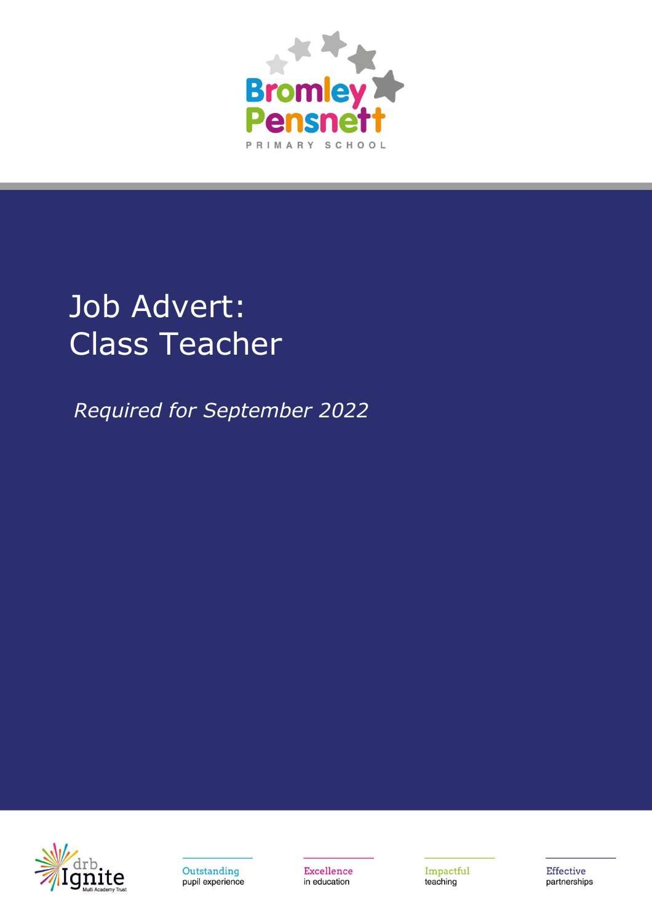

# Job Advert: Class Teacher

*Required for September 2022*





Excellence in education

Impactful teaching

Effective partnerships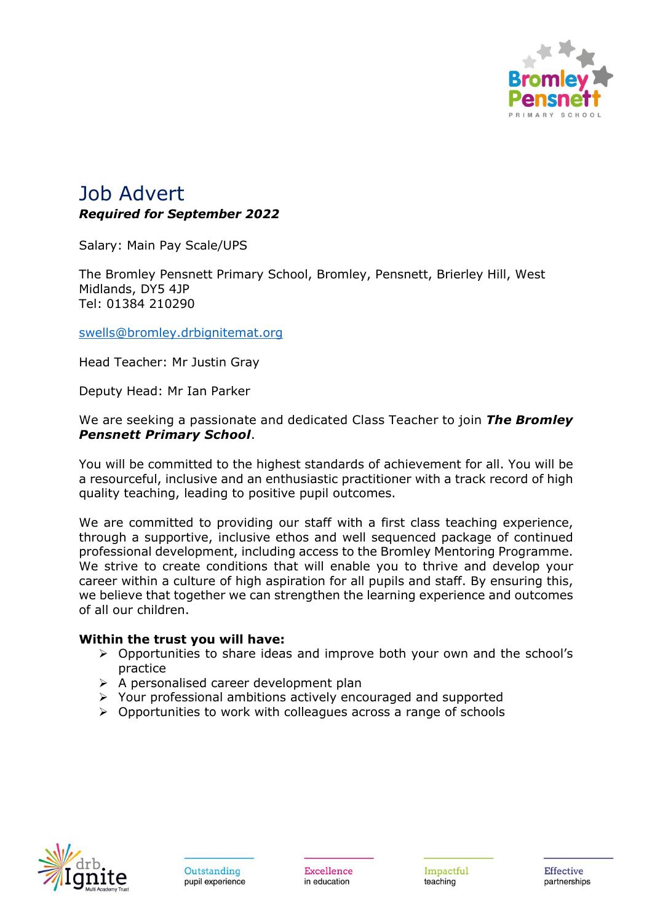

# Job Advert *Required for September 2022*

Salary: Main Pay Scale/UPS

The Bromley Pensnett Primary School, Bromley, Pensnett, Brierley Hill, West Midlands, DY5 4JP Tel: 01384 210290

[swells@bromley.drbignitemat.org](mailto:swells@bromley.drbignitemat.org)

Head Teacher: Mr Justin Gray

Deputy Head: Mr Ian Parker

We are seeking a passionate and dedicated Class Teacher to join *The Bromley Pensnett Primary School*.

You will be committed to the highest standards of achievement for all. You will be a resourceful, inclusive and an enthusiastic practitioner with a track record of high quality teaching, leading to positive pupil outcomes.

We are committed to providing our staff with a first class teaching experience, through a supportive, inclusive ethos and well sequenced package of continued professional development, including access to the Bromley Mentoring Programme. We strive to create conditions that will enable you to thrive and develop your career within a culture of high aspiration for all pupils and staff. By ensuring this, we believe that together we can strengthen the learning experience and outcomes of all our children.

#### **Within the trust you will have:**

- ➢ Opportunities to share ideas and improve both your own and the school's practice
- ➢ A personalised career development plan
- ➢ Your professional ambitions actively encouraged and supported
- ➢ Opportunities to work with colleagues across a range of schools